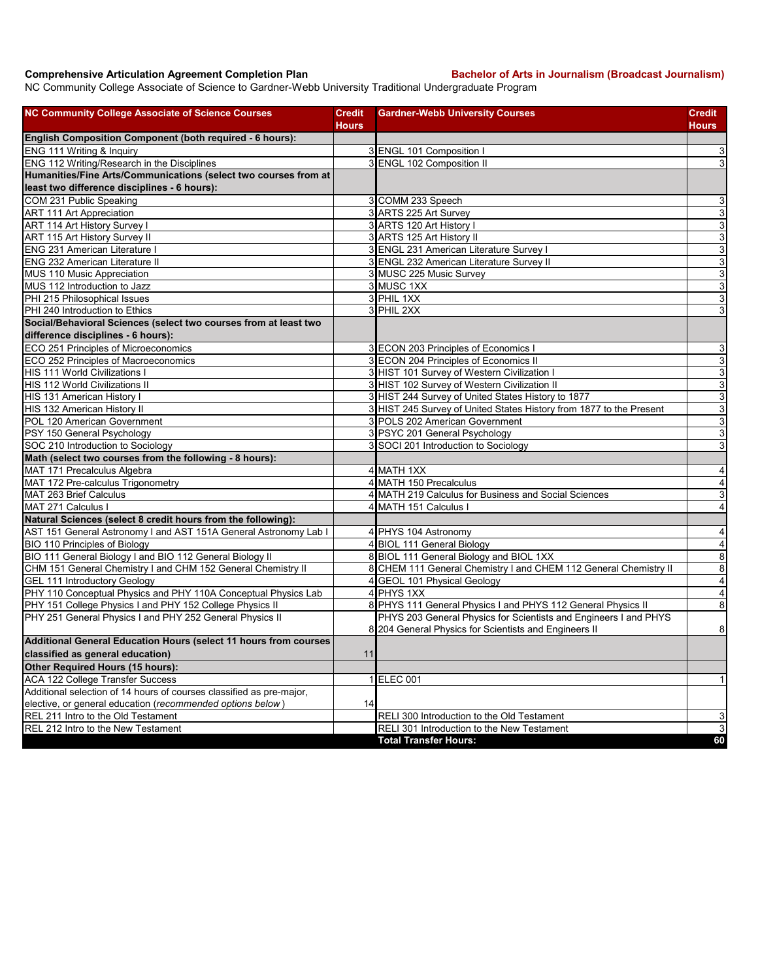## **Comprehensive Articulation Agreement Completion Plan Bachelor of Arts in Journalism (Broadcast Journalism)**

NC Community College Associate of Science to Gardner-Webb University Traditional Undergraduate Program

| NC Community College Associate of Science Courses                    | <b>Credit</b> | <b>Gardner-Webb University Courses</b>                              | Credit                    |
|----------------------------------------------------------------------|---------------|---------------------------------------------------------------------|---------------------------|
| English Composition Component (both required - 6 hours):             | <b>Hours</b>  |                                                                     | Hours                     |
| ENG 111 Writing & Inquiry                                            |               | 3 ENGL 101 Composition I                                            | 3                         |
| ENG 112 Writing/Research in the Disciplines                          |               | 3 ENGL 102 Composition II                                           | 3                         |
| Humanities/Fine Arts/Communications (select two courses from at      |               |                                                                     |                           |
| least two difference disciplines - 6 hours):                         |               |                                                                     |                           |
| COM 231 Public Speaking                                              |               | 3 COMM 233 Speech                                                   | $\mathbf{3}$              |
| ART 111 Art Appreciation                                             |               | 3 ARTS 225 Art Survey                                               | $\mathsf 3$               |
| ART 114 Art History Survey I                                         |               | 3 ARTS 120 Art History I                                            | دن                        |
| <b>ART 115 Art History Survey II</b>                                 |               | 3 ARTS 125 Art History II                                           | دن                        |
| <b>ENG 231 American Literature I</b>                                 |               | 3 ENGL 231 American Literature Survey I                             | $\mathbf{3}$              |
| <b>ENG 232 American Literature II</b>                                |               | 3 ENGL 232 American Literature Survey II                            | ω                         |
| MUS 110 Music Appreciation                                           |               | 3 MUSC 225 Music Survey                                             | دن                        |
| MUS 112 Introduction to Jazz                                         |               | 3 MUSC 1XX                                                          | $\overline{3}$            |
| PHI 215 Philosophical Issues                                         |               | 3 PHIL 1XX                                                          | $\mathsf 3$               |
| PHI 240 Introduction to Ethics                                       |               | 3 PHIL 2XX                                                          | 3                         |
| Social/Behavioral Sciences (select two courses from at least two     |               |                                                                     |                           |
| difference disciplines - 6 hours):                                   |               |                                                                     |                           |
| ECO 251 Principles of Microeconomics                                 |               | 3 ECON 203 Principles of Economics I                                | $\mathbf{3}$              |
| ECO 252 Principles of Macroeconomics                                 |               | 3 ECON 204 Principles of Economics II                               | ω                         |
| HIS 111 World Civilizations I                                        |               | 3 HIST 101 Survey of Western Civilization I                         | $\mathsf 3$               |
| HIS 112 World Civilizations II                                       |               | 3 HIST 102 Survey of Western Civilization II                        | $\mathbf{3}$              |
| HIS 131 American History I                                           |               | 3 HIST 244 Survey of United States History to 1877                  | دن                        |
| HIS 132 American History II                                          |               | 3 HIST 245 Survey of United States History from 1877 to the Present | ω                         |
| POL 120 American Government                                          |               | 3 POLS 202 American Government                                      | $\ensuremath{\mathsf{3}}$ |
| PSY 150 General Psychology                                           |               | 3 PSYC 201 General Psychology                                       | ω                         |
| SOC 210 Introduction to Sociology                                    |               | 3 SOCI 201 Introduction to Sociology                                | 3                         |
| Math (select two courses from the following - 8 hours):              |               |                                                                     |                           |
| MAT 171 Precalculus Algebra                                          |               | 4 MATH 1XX                                                          | 4                         |
| MAT 172 Pre-calculus Trigonometry                                    |               | 4 MATH 150 Precalculus                                              | $\overline{\mathbf{4}}$   |
| MAT 263 Brief Calculus                                               |               | 4 MATH 219 Calculus for Business and Social Sciences                | 3                         |
| MAT 271 Calculus I                                                   |               | 4 MATH 151 Calculus I                                               | $\overline{4}$            |
| Natural Sciences (select 8 credit hours from the following):         |               |                                                                     |                           |
| AST 151 General Astronomy I and AST 151A General Astronomy Lab I     |               | 4 PHYS 104 Astronomy                                                | $\overline{a}$            |
| BIO 110 Principles of Biology                                        |               | 4 BIOL 111 General Biology                                          | $\overline{\mathbf{A}}$   |
| BIO 111 General Biology I and BIO 112 General Biology II             |               | 8 BIOL 111 General Biology and BIOL 1XX                             | $\, 8$                    |
| CHM 151 General Chemistry I and CHM 152 General Chemistry II         |               | 8 CHEM 111 General Chemistry I and CHEM 112 General Chemistry II    | 8                         |
| <b>GEL 111 Introductory Geology</b>                                  |               | 4 GEOL 101 Physical Geology                                         | $\overline{\mathbf{A}}$   |
| PHY 110 Conceptual Physics and PHY 110A Conceptual Physics Lab       |               | 4 PHYS 1XX                                                          | $\overline{\mathbf{4}}$   |
| PHY 151 College Physics I and PHY 152 College Physics II             |               | 8 PHYS 111 General Physics I and PHYS 112 General Physics II        | $\,8\,$                   |
| PHY 251 General Physics I and PHY 252 General Physics II             |               | PHYS 203 General Physics for Scientists and Engineers I and PHYS    |                           |
|                                                                      |               | 8 204 General Physics for Scientists and Engineers II               | $\, 8$                    |
| Additional General Education Hours (select 11 hours from courses     |               |                                                                     |                           |
| classified as general education)                                     | 11            |                                                                     |                           |
| Other Required Hours (15 hours):                                     |               |                                                                     |                           |
| ACA 122 College Transfer Success                                     |               | 1 ELEC 001                                                          | $\mathbf{1}$              |
| Additional selection of 14 hours of courses classified as pre-major, |               |                                                                     |                           |
| elective, or general education (recommended options below)           | 14            |                                                                     |                           |
| REL 211 Intro to the Old Testament                                   |               | RELI 300 Introduction to the Old Testament                          | $\mathsf 3$               |
| REL 212 Intro to the New Testament                                   |               | RELI 301 Introduction to the New Testament                          | $\mathsf 3$               |
|                                                                      |               | <b>Total Transfer Hours:</b>                                        | 60                        |